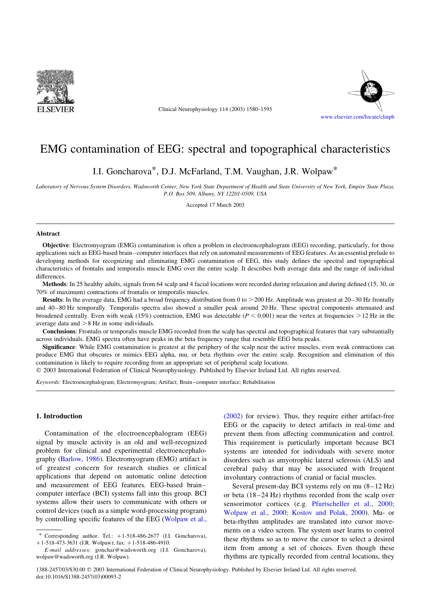

Clinical Neurophysiology 114 (2003) 1580–1593



# EMG contamination of EEG: spectral and topographical characteristics

I.I. Goncharova\*, D.J. McFarland, T.M. Vaughan, J.R. Wolpaw\*

Laboratory of Nervous System Disorders, Wadsworth Center, New York State Department of Health and State University of New York, Empire State Plaza, P.O. Box 509, Albany, NY 12201-0509, USA

Accepted 17 March 2003

#### Abstract

Objective: Electromyogram (EMG) contamination is often a problem in electroencephalogram (EEG) recording, particularly, for those applications such as EEG-based brain–computer interfaces that rely on automated measurements of EEG features. As an essential prelude to developing methods for recognizing and eliminating EMG contamination of EEG, this study defines the spectral and topographical characteristics of frontalis and temporalis muscle EMG over the entire scalp. It describes both average data and the range of individual differences.

Methods: In 25 healthy adults, signals from 64 scalp and 4 facial locations were recorded during relaxation and during defined (15, 30, or 70% of maximum) contractions of frontalis or temporalis muscles.

**Results:** In the average data, EMG had a broad frequency distribution from 0 to  $>$  200 Hz. Amplitude was greatest at 20–30 Hz frontally and 40–80 Hz temporally. Temporalis spectra also showed a smaller peak around 20 Hz. These spectral components attenuated and broadened centrally. Even with weak (15%) contraction, EMG was detectable  $(P < 0.001)$  near the vertex at frequencies  $> 12$  Hz in the average data and  $>8$  Hz in some individuals.

Conclusions: Frontalis or temporalis muscle EMG recorded from the scalp has spectral and topographical features that vary substantially across individuals. EMG spectra often have peaks in the beta frequency range that resemble EEG beta peaks.

Significance: While EMG contamination is greatest at the periphery of the scalp near the active muscles, even weak contractions can produce EMG that obscures or mimics EEG alpha, mu, or beta rhythms over the entire scalp. Recognition and elimination of this contamination is likely to require recording from an appropriate set of peripheral scalp locations.

 $©$  2003 International Federation of Clinical Neurophysiology. Published by Elsevier Ireland Ltd. All rights reserved.

Keywords: Electroencephalogram; Electromyogram; Artifact; Brain–computer interface; Rehabilitation

#### 1. Introduction

Contamination of the electroencephalogram (EEG) signal by muscle activity is an old and well-recognized problem for clinical and experimental electroencephalography ([Barlow, 1986\)](#page-12-0). Electromyogram (EMG) artifact is of greatest concern for research studies or clinical applications that depend on automatic online detection and measurement of EEG features. EEG-based brain– computer interface (BCI) systems fall into this group. BCI systems allow their users to communicate with others or control devices (such as a simple word-processing program) by controlling specific features of the EEG ([Wolpaw et al.,](#page-13-0)

[\(2002\)](#page-13-0) for review). Thus, they require either artifact-free EEG or the capacity to detect artifacts in real-time and prevent them from affecting communication and control. This requirement is particularly important because BCI systems are intended for individuals with severe motor disorders such as amyotrophic lateral sclerosis (ALS) and cerebral palsy that may be associated with frequent involuntary contractions of cranial or facial muscles.

Several present-day BCI systems rely on mu (8–12 Hz) or beta (18–24 Hz) rhythms recorded from the scalp over sensorimotor cortices (e.g. [Pfurtscheller et al., 2000;](#page-13-0) [Wolpaw et al., 2000; Kostov and Polak, 2000\)](#page-13-0). Mu- or beta-rhythm amplitudes are translated into cursor movements on a video screen. The system user learns to control these rhythms so as to move the cursor to select a desired item from among a set of choices. Even though these rhythms are typically recorded from central locations, they

Corresponding author. Tel.:  $+1-518-486-2677$  (I.I. Goncharova),  $+1-518-473-3631$  (J.R. Wolpaw); fax:  $+1-518-486-4910$ .

E-mail addresses: gonchar@wadsworth.org (I.I. Goncharova), wolpaw@wadsworth.org (J.R. Wolpaw).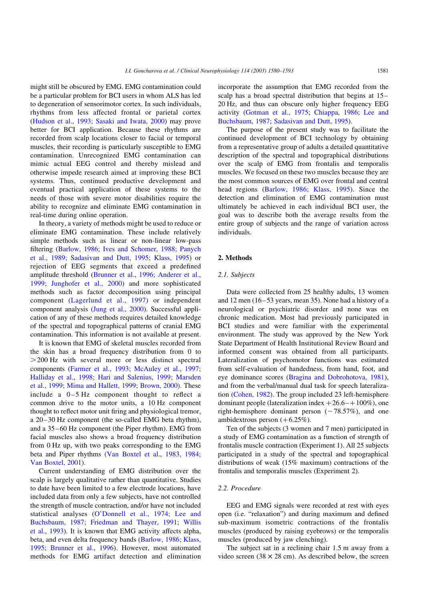might still be obscured by EMG. EMG contamination could be a particular problem for BCI users in whom ALS has led to degeneration of sensorimotor cortex. In such individuals, rhythms from less affected frontal or parietal cortex ([Hudson et al., 1993; Sasaki and Iwata, 2000\)](#page-13-0) may prove better for BCI application. Because these rhythms are recorded from scalp locations closer to facial or temporal muscles, their recording is particularly susceptible to EMG contamination. Unrecognized EMG contamination can mimic actual EEG control and thereby mislead and otherwise impede research aimed at improving these BCI systems. Thus, continued productive development and eventual practical application of these systems to the needs of those with severe motor disabilities require the ability to recognize and eliminate EMG contamination in real-time during online operation.

In theory, a variety of methods might be used to reduce or eliminate EMG contamination. These include relatively simple methods such as linear or non-linear low-pass filtering ([Barlow, 1986; Ives and Schomer, 1988; Panych](#page-12-0) [et al., 1989; Sadasivan and Dutt, 1995; Klass, 1995](#page-12-0)) or rejection of EEG segments that exceed a predefined amplitude threshold ([Brunner et al., 1996; Anderer et al.,](#page-12-0) [1999; Junghofer et al., 2000](#page-12-0)) and more sophisticated methods such as factor decomposition using principal component [\(Lagerlund et al., 1997\)](#page-13-0) or independent component analysis ([Jung et al., 2000](#page-13-0)). Successful application of any of these methods requires detailed knowledge of the spectral and topographical patterns of cranial EMG contamination. This information is not available at present.

It is known that EMG of skeletal muscles recorded from the skin has a broad frequency distribution from 0 to .200 Hz with several more or less distinct spectral components ([Farmer et al., 1993; McAuley et al., 1997;](#page-12-0) [Halliday et al., 1998; Hari and Salenius, 1999; Marsden](#page-12-0) [et al., 1999; Mima and Hallett, 1999; Brown, 2000\)](#page-12-0). These include a 0–5 Hz component thought to reflect a common drive to the motor units, a 10 Hz component thought to reflect motor unit firing and physiological tremor, a 20–30 Hz component (the so-called EMG beta rhythm), and a 35–60 Hz component (the Piper rhythm). EMG from facial muscles also shows a broad frequency distribution from 0 Hz up, with two peaks corresponding to the EMG beta and Piper rhythms ([Van Boxtel et al., 1983, 1984;](#page-13-0) [Van Boxtel, 2001](#page-13-0)).

Current understanding of EMG distribution over the scalp is largely qualitative rather than quantitative. Studies to date have been limited to a few electrode locations, have included data from only a few subjects, have not controlled the strength of muscle contraction, and/or have not included statistical analyses [\(O'Donnell et al., 1974; Lee and](#page-13-0) [Buchsbaum, 1987; Friedman and Thayer, 1991; Willis](#page-13-0) [et al., 1993](#page-13-0)). It is known that EMG activity affects alpha, beta, and even delta frequency bands [\(Barlow, 1986; Klass,](#page-12-0) [1995; Brunner et al., 1996](#page-12-0)). However, most automated methods for EMG artifact detection and elimination incorporate the assumption that EMG recorded from the scalp has a broad spectral distribution that begins at 15– 20 Hz, and thus can obscure only higher frequency EEG activity [\(Gotman et al., 1975](#page-13-0); [Chiappa, 1986;](#page-12-0) [Lee and](#page-13-0) [Buchsbaum, 1987](#page-13-0); [Sadasivan and Dutt, 1995](#page-13-0)).

The purpose of the present study was to facilitate the continued development of BCI technology by obtaining from a representative group of adults a detailed quantitative description of the spectral and topographical distributions over the scalp of EMG from frontalis and temporalis muscles. We focused on these two muscles because they are the most common sources of EMG over frontal and central head regions ([Barlow, 1986; Klass, 1995\)](#page-12-0). Since the detection and elimination of EMG contamination must ultimately be achieved in each individual BCI user, the goal was to describe both the average results from the entire group of subjects and the range of variation across individuals.

#### 2. Methods

#### 2.1. Subjects

Data were collected from 25 healthy adults, 13 women and 12 men (16–53 years, mean 35). None had a history of a neurological or psychiatric disorder and none was on chronic medication. Most had previously participated in BCI studies and were familiar with the experimental environment. The study was approved by the New York State Department of Health Institutional Review Board and informed consent was obtained from all participants. Lateralization of psychomotor functions was estimated from self-evaluation of handedness, from hand, foot, and eye dominance scores ([Bragina and Dobrohotova, 1981\)](#page-12-0), and from the verbal/manual dual task for speech lateralization [\(Cohen, 1982\)](#page-12-0). The group included 23 left-hemisphere dominant people (lateralization index  $+26.6-+100\%$ ), one right-hemisphere dominant person  $(-78.57%)$ , and one ambidextrous person  $(+6.25\%)$ .

Ten of the subjects (3 women and 7 men) participated in a study of EMG contamination as a function of strength of frontalis muscle contraction (Experiment 1). All 25 subjects participated in a study of the spectral and topographical distributions of weak (15% maximum) contractions of the frontalis and temporalis muscles (Experiment 2).

#### 2.2. Procedure

EEG and EMG signals were recorded at rest with eyes open (i.e. "relaxation") and during maximum and defined sub-maximum isometric contractions of the frontalis muscles (produced by raising eyebrows) or the temporalis muscles (produced by jaw clenching).

The subject sat in a reclining chair 1.5 m away from a video screen (38  $\times$  28 cm). As described below, the screen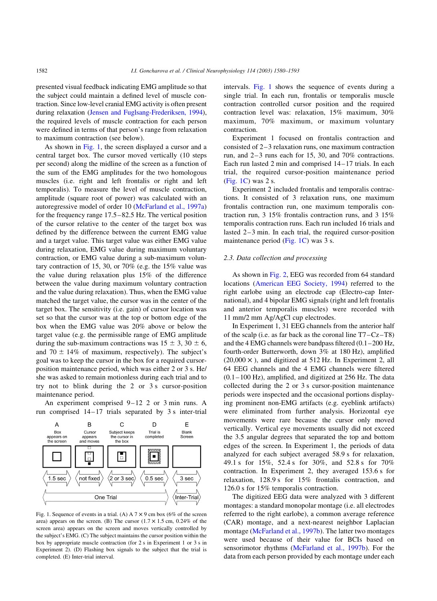presented visual feedback indicating EMG amplitude so that the subject could maintain a defined level of muscle contraction. Since low-level cranial EMG activity is often present during relaxation ([Jensen and Fuglsang-Frederiksen, 1994](#page-13-0)), the required levels of muscle contraction for each person were defined in terms of that person's range from relaxation to maximum contraction (see below).

As shown in Fig. 1, the screen displayed a cursor and a central target box. The cursor moved vertically (10 steps per second) along the midline of the screen as a function of the sum of the EMG amplitudes for the two homologous muscles (i.e. right and left frontalis or right and left temporalis). To measure the level of muscle contraction, amplitude (square root of power) was calculated with an autoregressive model of order 10 [\(McFarland et al., 1997a](#page-13-0)) for the frequency range 17.5–82.5 Hz. The vertical position of the cursor relative to the center of the target box was defined by the difference between the current EMG value and a target value. This target value was either EMG value during relaxation, EMG value during maximum voluntary contraction, or EMG value during a sub-maximum voluntary contraction of 15, 30, or 70% (e.g. the 15% value was the value during relaxation plus 15% of the difference between the value during maximum voluntary contraction and the value during relaxation). Thus, when the EMG value matched the target value, the cursor was in the center of the target box. The sensitivity (i.e. gain) of cursor location was set so that the cursor was at the top or bottom edge of the box when the EMG value was 20% above or below the target value (e.g. the permissible range of EMG amplitude during the sub-maximum contractions was  $15 \pm 3$ ,  $30 \pm 6$ , and  $70 \pm 14\%$  of maximum, respectively). The subject's goal was to keep the cursor in the box for a required cursorposition maintenance period, which was either 2 or 3 s. He/ she was asked to remain motionless during each trial and to try not to blink during the 2 or 3 s cursor-position maintenance period.

An experiment comprised 9–12 2 or 3 min runs. A run comprised 14–17 trials separated by 3 s inter-trial



Fig. 1. Sequence of events in a trial. (A) A  $7 \times 9$  cm box (6% of the screen area) appears on the screen. (B) The cursor  $(1.7 \times 1.5 \text{ cm}, 0.24\%$  of the screen area) appears on the screen and moves vertically controlled by the subject's EMG. (C) The subject maintains the cursor position within the box by appropriate muscle contraction (for 2 s in Experiment 1 or 3 s in Experiment 2). (D) Flashing box signals to the subject that the trial is completed. (E) Inter-trial interval.

intervals. Fig. 1 shows the sequence of events during a single trial. In each run, frontalis or temporalis muscle contraction controlled cursor position and the required contraction level was: relaxation, 15% maximum, 30% maximum, 70% maximum, or maximum voluntary contraction.

Experiment 1 focused on frontalis contraction and consisted of 2–3 relaxation runs, one maximum contraction run, and 2–3 runs each for 15, 30, and 70% contractions. Each run lasted 2 min and comprised 14–17 trials. In each trial, the required cursor-position maintenance period (Fig. 1C) was 2 s.

Experiment 2 included frontalis and temporalis contractions. It consisted of 3 relaxation runs, one maximum frontalis contraction run, one maximum temporalis contraction run, 3 15% frontalis contraction runs, and 3 15% temporalis contraction runs. Each run included 16 trials and lasted 2–3 min. In each trial, the required cursor-position maintenance period (Fig. 1C) was 3 s.

#### 2.3. Data collection and processing

As shown in [Fig. 2](#page-3-0), EEG was recorded from 64 standard locations ([American EEG Society, 1994](#page-12-0)) referred to the right earlobe using an electrode cap (Electro-cap International), and 4 bipolar EMG signals (right and left frontalis and anterior temporalis muscles) were recorded with 11 mm/2 mm Ag/AgCl cup electrodes.

In Experiment 1, 31 EEG channels from the anterior half of the scalp (i.e. as far back as the coronal line T7–Cz–T8) and the 4 EMG channels were bandpass filtered (0.1–200 Hz, fourth-order Butterworth, down 3% at 180 Hz), amplified  $(20,000 \times)$ , and digitized at 512 Hz. In Experiment 2, all 64 EEG channels and the 4 EMG channels were filtered (0.1–100 Hz), amplified, and digitized at 256 Hz. The data collected during the 2 or 3 s cursor-position maintenance periods were inspected and the occasional portions displaying prominent non-EMG artifacts (e.g. eyeblink artifacts) were eliminated from further analysis. Horizontal eye movements were rare because the cursor only moved vertically. Vertical eye movements usually did not exceed the 3.5 angular degrees that separated the top and bottom edges of the screen. In Experiment 1, the periods of data analyzed for each subject averaged 58.9 s for relaxation, 49.1 s for 15%, 52.4 s for 30%, and 52.8 s for 70% contraction. In Experiment 2, they averaged 153.6 s for relaxation, 128.9 s for 15% frontalis contraction, and 126.0 s for 15% temporalis contraction.

The digitized EEG data were analyzed with 3 different montages: a standard monopolar montage (i.e. all electrodes referred to the right earlobe), a common average reference (CAR) montage, and a next-nearest neighbor Laplacian montage ([McFarland et al., 1997b\)](#page-13-0). The latter two montages were used because of their value for BCIs based on sensorimotor rhythms ([McFarland et al., 1997b](#page-13-0)). For the data from each person provided by each montage under each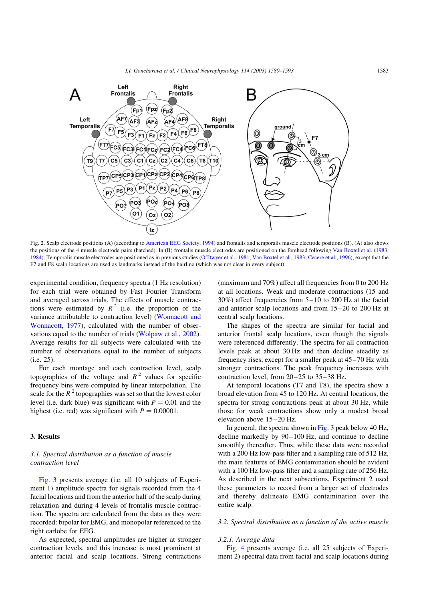<span id="page-3-0"></span>

Fig. 2. Scalp electrode positions (A) (according to [American EEG Society, 1994](#page-12-0)) and frontalis and temporalis muscle electrode positions (B). (A) also shows the positions of the 4 muscle electrode pairs (hatched). In (B) frontalis muscle electrodes are positioned on the forehead following [Van Boxtel et al. \(1983,](#page-13-0) [1984\)](#page-13-0). Temporalis muscle electrodes are positioned as in previous studies [\(O'Dwyer et al., 1981; Van Boxtel et al., 1983; Cecere et al., 1996](#page-13-0)), except that the F7 and F8 scalp locations are used as landmarks instead of the hairline (which was not clear in every subject).

experimental condition, frequency spectra (1 Hz resolution) for each trial were obtained by Fast Fourier Transform and averaged across trials. The effects of muscle contractions were estimated by  $R^2$  (i.e. the proportion of the variance attributable to contraction level) ([Wonnacott and](#page-13-0) [Wonnacott, 1977\)](#page-13-0), calculated with the number of observations equal to the number of trials [\(Wolpaw et al., 2002\)](#page-13-0). Average results for all subjects were calculated with the number of observations equal to the number of subjects (i.e. 25).

For each montage and each contraction level, scalp topographies of the voltage and  $R^2$  values for specific frequency bins were computed by linear interpolation. The scale for the  $R^2$  topographies was set so that the lowest color level (i.e. dark blue) was significant with  $P = 0.01$  and the highest (i.e. red) was significant with  $P = 0.00001$ .

#### 3. Results

## 3.1. Spectral distribution as a function of muscle contraction level

[Fig. 3](#page-4-0) presents average (i.e. all 10 subjects of Experiment 1) amplitude spectra for signals recorded from the 4 facial locations and from the anterior half of the scalp during relaxation and during 4 levels of frontalis muscle contraction. The spectra are calculated from the data as they were recorded: bipolar for EMG, and monopolar referenced to the right earlobe for EEG.

As expected, spectral amplitudes are higher at stronger contraction levels, and this increase is most prominent at anterior facial and scalp locations. Strong contractions

(maximum and 70%) affect all frequencies from 0 to 200 Hz at all locations. Weak and moderate contractions (15 and 30%) affect frequencies from 5–10 to 200 Hz at the facial and anterior scalp locations and from 15–20 to 200 Hz at central scalp locations.

The shapes of the spectra are similar for facial and anterior frontal scalp locations, even though the signals were referenced differently. The spectra for all contraction levels peak at about 30 Hz and then decline steadily as frequency rises, except for a smaller peak at 45–70 Hz with stronger contractions. The peak frequency increases with contraction level, from 20–25 to 35–38 Hz.

At temporal locations (T7 and T8), the spectra show a broad elevation from 45 to 120 Hz. At central locations, the spectra for strong contractions peak at about 30 Hz, while those for weak contractions show only a modest broad elevation above 15–20 Hz.

In general, the spectra shown in [Fig. 3](#page-4-0) peak below 40 Hz, decline markedly by 90–100 Hz, and continue to decline smoothly thereafter. Thus, while these data were recorded with a 200 Hz low-pass filter and a sampling rate of 512 Hz, the main features of EMG contamination should be evident with a 100 Hz low-pass filter and a sampling rate of 256 Hz. As described in the next subsections, Experiment 2 used these parameters to record from a larger set of electrodes and thereby delineate EMG contamination over the entire scalp.

#### 3.2. Spectral distribution as a function of the active muscle

#### 3.2.1. Average data

[Fig. 4](#page-5-0) presents average (i.e. all 25 subjects of Experiment 2) spectral data from facial and scalp locations during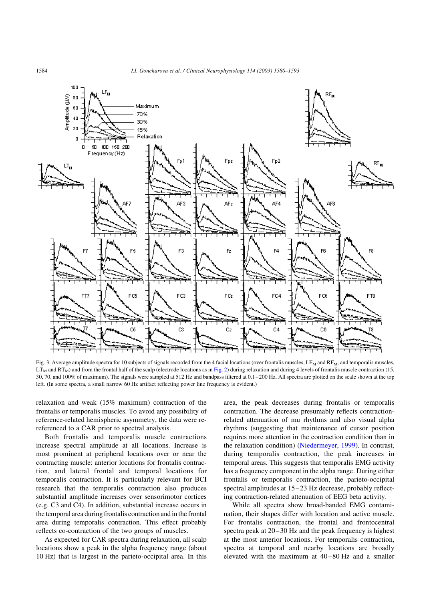

Fig. 3. Average amplitude spectra for 10 subjects of signals recorded from the 4 facial locations (over frontalis muscles, LF<sub>M</sub> and RF<sub>M</sub>, and temporalis muscles,  $LT_M$  and RT<sub>M</sub>) and from the frontal half of the scalp (electrode locations as in [Fig. 2](#page-3-0)) during relaxation and during 4 levels of frontalis muscle contraction (15, 30, 70, and 100% of maximum). The signals were sampled at 512 Hz and bandpass filtered at 0.1–200 Hz. All spectra are plotted on the scale shown at the top left. (In some spectra, a small narrow 60 Hz artifact reflecting power line frequency is evident.)

relaxation and weak (15% maximum) contraction of the frontalis or temporalis muscles. To avoid any possibility of reference-related hemispheric asymmetry, the data were rereferenced to a CAR prior to spectral analysis.

Both frontalis and temporalis muscle contractions increase spectral amplitude at all locations. Increase is most prominent at peripheral locations over or near the contracting muscle: anterior locations for frontalis contraction, and lateral frontal and temporal locations for temporalis contraction. It is particularly relevant for BCI research that the temporalis contraction also produces substantial amplitude increases over sensorimotor cortices (e.g. C3 and C4). In addition, substantial increase occurs in the temporal area during frontalis contraction and in the frontal area during temporalis contraction. This effect probably reflects co-contraction of the two groups of muscles.

As expected for CAR spectra during relaxation, all scalp locations show a peak in the alpha frequency range (about 10 Hz) that is largest in the parieto-occipital area. In this

area, the peak decreases during frontalis or temporalis contraction. The decrease presumably reflects contractionrelated attenuation of mu rhythms and also visual alpha rhythms (suggesting that maintenance of cursor position requires more attention in the contraction condition than in the relaxation condition) [\(Niedermeyer, 1999](#page-13-0)). In contrast, during temporalis contraction, the peak increases in temporal areas. This suggests that temporalis EMG activity has a frequency component in the alpha range. During either frontalis or temporalis contraction, the parieto-occipital spectral amplitudes at 15–23 Hz decrease, probably reflecting contraction-related attenuation of EEG beta activity.

While all spectra show broad-banded EMG contamination, their shapes differ with location and active muscle. For frontalis contraction, the frontal and frontocentral spectra peak at 20–30 Hz and the peak frequency is highest at the most anterior locations. For temporalis contraction, spectra at temporal and nearby locations are broadly elevated with the maximum at 40–80 Hz and a smaller

<span id="page-4-0"></span>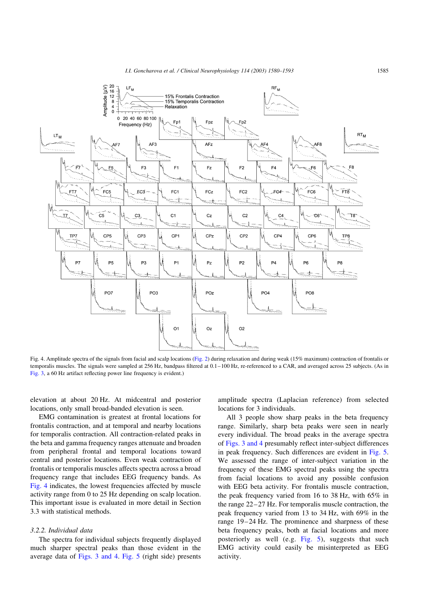<span id="page-5-0"></span>

Fig. 4. Amplitude spectra of the signals from facial and scalp locations [\(Fig. 2](#page-3-0)) during relaxation and during weak (15% maximum) contraction of frontalis or temporalis muscles. The signals were sampled at 256 Hz, bandpass filtered at 0.1–100 Hz, re-referenced to a CAR, and averaged across 25 subjects. (As in [Fig. 3](#page-4-0), a 60 Hz artifact reflecting power line frequency is evident.)

elevation at about 20 Hz. At midcentral and posterior locations, only small broad-banded elevation is seen.

EMG contamination is greatest at frontal locations for frontalis contraction, and at temporal and nearby locations for temporalis contraction. All contraction-related peaks in the beta and gamma frequency ranges attenuate and broaden from peripheral frontal and temporal locations toward central and posterior locations. Even weak contraction of frontalis or temporalis muscles affects spectra across a broad frequency range that includes EEG frequency bands. As Fig. 4 indicates, the lowest frequencies affected by muscle activity range from 0 to 25 Hz depending on scalp location. This important issue is evaluated in more detail in Section 3.3 with statistical methods.

#### 3.2.2. Individual data

The spectra for individual subjects frequently displayed much sharper spectral peaks than those evident in the average data of [Figs. 3 and 4](#page-4-0). [Fig. 5](#page-6-0) (right side) presents

amplitude spectra (Laplacian reference) from selected locations for 3 individuals.

All 3 people show sharp peaks in the beta frequency range. Similarly, sharp beta peaks were seen in nearly every individual. The broad peaks in the average spectra of [Figs. 3 and 4](#page-4-0) presumably reflect inter-subject differences in peak frequency. Such differences are evident in [Fig. 5](#page-6-0). We assessed the range of inter-subject variation in the frequency of these EMG spectral peaks using the spectra from facial locations to avoid any possible confusion with EEG beta activity. For frontalis muscle contraction, the peak frequency varied from 16 to 38 Hz, with 65% in the range 22–27 Hz. For temporalis muscle contraction, the peak frequency varied from 13 to 34 Hz, with 69% in the range 19–24 Hz. The prominence and sharpness of these beta frequency peaks, both at facial locations and more posteriorly as well (e.g. [Fig. 5\)](#page-6-0), suggests that such EMG activity could easily be misinterpreted as EEG activity.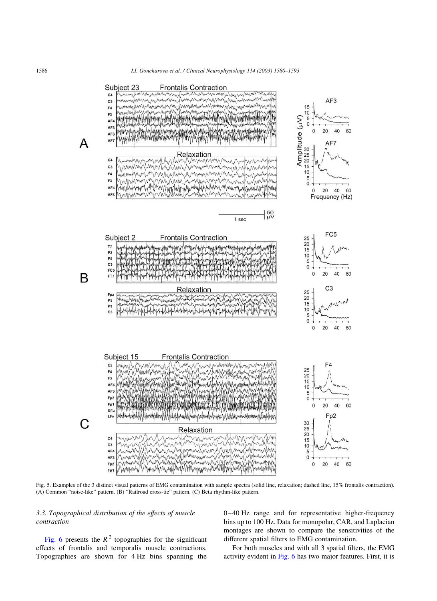<span id="page-6-0"></span>

Fig. 5. Examples of the 3 distinct visual patterns of EMG contamination with sample spectra (solid line, relaxation; dashed line, 15% frontalis contraction). (A) Common "noise-like" pattern. (B) "Railroad cross-tie" pattern. (C) Beta rhythm-like pattern.

# 3.3. Topographical distribution of the effects of muscle contraction

[Fig. 6](#page-7-0) presents the  $R^2$  topographies for the significant effects of frontalis and temporalis muscle contractions. Topographies are shown for 4 Hz bins spanning the 0–40 Hz range and for representative higher-frequency bins up to 100 Hz. Data for monopolar, CAR, and Laplacian montages are shown to compare the sensitivities of the different spatial filters to EMG contamination.

For both muscles and with all 3 spatial filters, the EMG activity evident in [Fig. 6](#page-7-0) has two major features. First, it is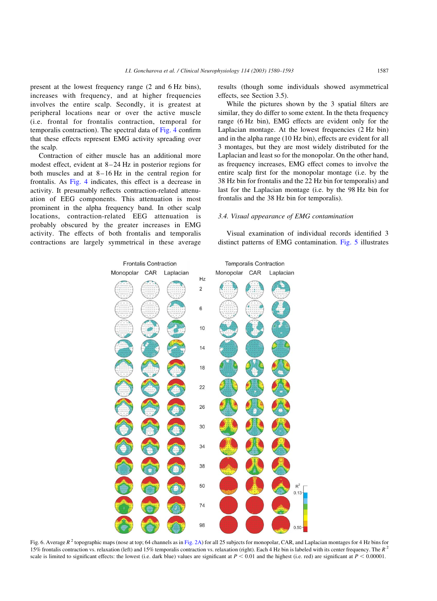<span id="page-7-0"></span>present at the lowest frequency range (2 and 6 Hz bins), increases with frequency, and at higher frequencies involves the entire scalp. Secondly, it is greatest at peripheral locations near or over the active muscle (i.e. frontal for frontalis contraction, temporal for temporalis contraction). The spectral data of [Fig. 4](#page-5-0) confirm that these effects represent EMG activity spreading over the scalp.

Contraction of either muscle has an additional more modest effect, evident at 8–24 Hz in posterior regions for both muscles and at 8–16 Hz in the central region for frontalis. As [Fig. 4](#page-5-0) indicates, this effect is a decrease in activity. It presumably reflects contraction-related attenuation of EEG components. This attenuation is most prominent in the alpha frequency band. In other scalp locations, contraction-related EEG attenuation is probably obscured by the greater increases in EMG activity. The effects of both frontalis and temporalis contractions are largely symmetrical in these average results (though some individuals showed asymmetrical effects, see Section 3.5).

While the pictures shown by the 3 spatial filters are similar, they do differ to some extent. In the theta frequency range (6 Hz bin), EMG effects are evident only for the Laplacian montage. At the lowest frequencies (2 Hz bin) and in the alpha range (10 Hz bin), effects are evident for all 3 montages, but they are most widely distributed for the Laplacian and least so for the monopolar. On the other hand, as frequency increases, EMG effect comes to involve the entire scalp first for the monopolar montage (i.e. by the 38 Hz bin for frontalis and the 22 Hz bin for temporalis) and last for the Laplacian montage (i.e. by the 98 Hz bin for frontalis and the 38 Hz bin for temporalis).

#### 3.4. Visual appearance of EMG contamination

Visual examination of individual records identified 3 distinct patterns of EMG contamination. [Fig. 5](#page-6-0) illustrates



Fig. 6. Average  $R^2$  topographic maps (nose at top; 64 channels as in [Fig. 2A\)](#page-3-0) for all 25 subjects for monopolar, CAR, and Laplacian montages for 4 Hz bins for 15% frontalis contraction vs. relaxation (left) and 15% temporalis contraction vs. relaxation (right). Each 4 Hz bin is labeled with its center frequency. The  $R^2$ scale is limited to significant effects: the lowest (i.e. dark blue) values are significant at  $P < 0.01$  and the highest (i.e. red) are significant at  $P < 0.00001$ .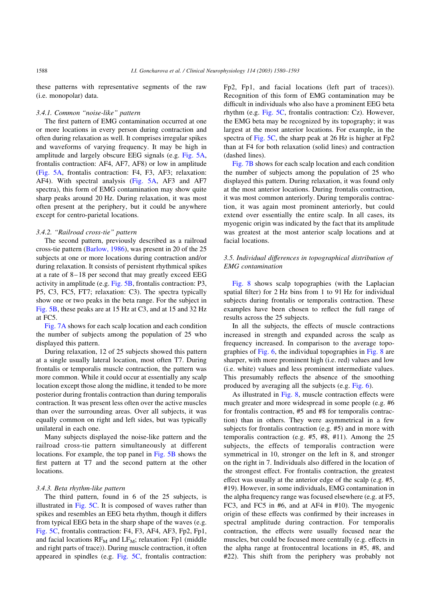these patterns with representative segments of the raw (i.e. monopolar) data.

# 3.4.1. Common "noise-like" pattern

The first pattern of EMG contamination occurred at one or more locations in every person during contraction and often during relaxation as well. It comprises irregular spikes and waveforms of varying frequency. It may be high in amplitude and largely obscure EEG signals (e.g. [Fig. 5A](#page-6-0), frontalis contraction: AF4, AF7, AF8) or low in amplitude ([Fig. 5A,](#page-6-0) frontalis contraction: F4, F3, AF3; relaxation: AF4). With spectral analysis [\(Fig. 5A](#page-6-0), AF3 and AF7 spectra), this form of EMG contamination may show quite sharp peaks around 20 Hz. During relaxation, it was most often present at the periphery, but it could be anywhere except for centro-parietal locations.

#### 3.4.2. "Railroad cross-tie" pattern

The second pattern, previously described as a railroad cross-tie pattern [\(Barlow, 1986\)](#page-12-0), was present in 20 of the 25 subjects at one or more locations during contraction and/or during relaxation. It consists of persistent rhythmical spikes at a rate of 8–18 per second that may greatly exceed EEG activity in amplitude (e.g. [Fig. 5B,](#page-6-0) frontalis contraction: P3, P5, C3, FC5, FT7; relaxation: C3). The spectra typically show one or two peaks in the beta range. For the subject in [Fig. 5B](#page-6-0), these peaks are at 15 Hz at C3, and at 15 and 32 Hz at FC5.

[Fig. 7A](#page-9-0) shows for each scalp location and each condition the number of subjects among the population of 25 who displayed this pattern.

During relaxation, 12 of 25 subjects showed this pattern at a single usually lateral location, most often T7. During frontalis or temporalis muscle contraction, the pattern was more common. While it could occur at essentially any scalp location except those along the midline, it tended to be more posterior during frontalis contraction than during temporalis contraction. It was present less often over the active muscles than over the surrounding areas. Over all subjects, it was equally common on right and left sides, but was typically unilateral in each one.

Many subjects displayed the noise-like pattern and the railroad cross-tie pattern simultaneously at different locations. For example, the top panel in [Fig. 5B](#page-6-0) shows the first pattern at T7 and the second pattern at the other locations.

#### 3.4.3. Beta rhythm-like pattern

The third pattern, found in 6 of the 25 subjects, is illustrated in [Fig. 5C](#page-6-0). It is composed of waves rather than spikes and resembles an EEG beta rhythm, though it differs from typical EEG beta in the sharp shape of the waves (e.g. [Fig. 5C,](#page-6-0) frontalis contraction: F4, F3, AF4, AF3, Fp2, Fp1, and facial locations  $RF_M$  and  $LF_M$ ; relaxation: Fp1 (middle and right parts of trace)). During muscle contraction, it often appeared in spindles (e.g. [Fig. 5C](#page-6-0), frontalis contraction:

Fp2, Fp1, and facial locations (left part of traces)). Recognition of this form of EMG contamination may be difficult in individuals who also have a prominent EEG beta rhythm (e.g. [Fig. 5C,](#page-6-0) frontalis contraction: Cz). However, the EMG beta may be recognized by its topography; it was largest at the most anterior locations. For example, in the spectra of [Fig. 5C](#page-6-0), the sharp peak at 26 Hz is higher at Fp2 than at F4 for both relaxation (solid lines) and contraction (dashed lines).

[Fig. 7B](#page-9-0) shows for each scalp location and each condition the number of subjects among the population of 25 who displayed this pattern. During relaxation, it was found only at the most anterior locations. During frontalis contraction, it was most common anteriorly. During temporalis contraction, it was again most prominent anteriorly, but could extend over essentially the entire scalp. In all cases, its myogenic origin was indicated by the fact that its amplitude was greatest at the most anterior scalp locations and at facial locations.

# 3.5. Individual differences in topographical distribution of EMG contamination

[Fig. 8](#page-9-0) shows scalp topographies (with the Laplacian spatial filter) for 2 Hz bins from 1 to 91 Hz for individual subjects during frontalis or temporalis contraction. These examples have been chosen to reflect the full range of results across the 25 subjects.

In all the subjects, the effects of muscle contractions increased in strength and expanded across the scalp as frequency increased. In comparison to the average topographies of [Fig. 6](#page-7-0), the individual topographies in [Fig. 8](#page-9-0) are sharper, with more prominent high (i.e. red) values and low (i.e. white) values and less prominent intermediate values. This presumably reflects the absence of the smoothing produced by averaging all the subjects (e.g. [Fig. 6](#page-7-0)).

As illustrated in [Fig. 8](#page-9-0), muscle contraction effects were much greater and more widespread in some people (e.g. #6 for frontalis contraction, #5 and #8 for temporalis contraction) than in others. They were asymmetrical in a few subjects for frontalis contraction (e.g. #5) and in more with temporalis contraction (e.g. #5, #8, #11). Among the 25 subjects, the effects of temporalis contraction were symmetrical in 10, stronger on the left in 8, and stronger on the right in 7. Individuals also differed in the location of the strongest effect. For frontalis contraction, the greatest effect was usually at the anterior edge of the scalp (e.g. #5, #19). However, in some individuals, EMG contamination in the alpha frequency range was focused elsewhere (e.g. at F5, FC3, and FC5 in #6, and at AF4 in #10). The myogenic origin of these effects was confirmed by their increases in spectral amplitude during contraction. For temporalis contraction, the effects were usually focused near the muscles, but could be focused more centrally (e.g. effects in the alpha range at frontocentral locations in #5, #8, and #22). This shift from the periphery was probably not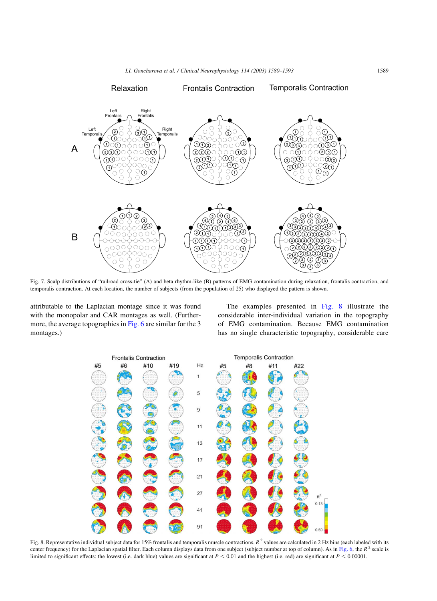<span id="page-9-0"></span>

Fig. 7. Scalp distributions of "railroad cross-tie" (A) and beta rhythm-like (B) patterns of EMG contamination during relaxation, frontalis contraction, and temporalis contraction. At each location, the number of subjects (from the population of 25) who displayed the pattern is shown.

attributable to the Laplacian montage since it was found with the monopolar and CAR montages as well. (Further-more, the average topographies in [Fig. 6](#page-7-0) are similar for the 3 montages.)

The examples presented in Fig. 8 illustrate the considerable inter-individual variation in the topography of EMG contamination. Because EMG contamination has no single characteristic topography, considerable care



Fig. 8. Representative individual subject data for 15% frontalis and temporalis muscle contractions.  $R^2$  values are calculated in 2 Hz bins (each labeled with its center frequency) for the Laplacian spatial filter. Each column displays data from one subject (subject number at top of column). As in [Fig. 6,](#page-7-0) the  $R<sup>2</sup>$  scale is limited to significant effects: the lowest (i.e. dark blue) values are significant at  $P < 0.01$  and the highest (i.e. red) are significant at  $P < 0.00001$ .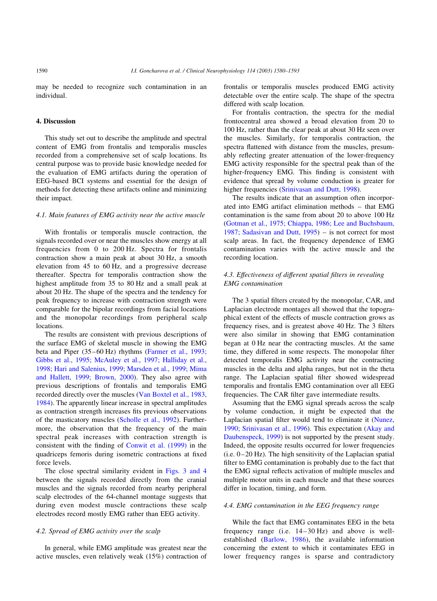may be needed to recognize such contamination in an individual.

### 4. Discussion

This study set out to describe the amplitude and spectral content of EMG from frontalis and temporalis muscles recorded from a comprehensive set of scalp locations. Its central purpose was to provide basic knowledge needed for the evaluation of EMG artifacts during the operation of EEG-based BCI systems and essential for the design of methods for detecting these artifacts online and minimizing their impact.

# 4.1. Main features of EMG activity near the active muscle

With frontalis or temporalis muscle contraction, the signals recorded over or near the muscles show energy at all frequencies from 0 to 200 Hz. Spectra for frontalis contraction show a main peak at about 30 Hz, a smooth elevation from 45 to 60 Hz, and a progressive decrease thereafter. Spectra for temporalis contraction show the highest amplitude from 35 to 80 Hz and a small peak at about 20 Hz. The shape of the spectra and the tendency for peak frequency to increase with contraction strength were comparable for the bipolar recordings from facial locations and the monopolar recordings from peripheral scalp locations.

The results are consistent with previous descriptions of the surface EMG of skeletal muscle in showing the EMG beta and Piper (35–60 Hz) rhythms ([Farmer et al., 1993;](#page-12-0) [Gibbs et al., 1995; McAuley et al., 1997; Halliday et al.,](#page-12-0) [1998; Hari and Salenius, 1999; Marsden et al., 1999; Mima](#page-12-0) [and Hallett, 1999; Brown, 2000](#page-12-0)). They also agree with previous descriptions of frontalis and temporalis EMG recorded directly over the muscles [\(Van Boxtel et al., 1983,](#page-13-0) [1984\)](#page-13-0). The apparently linear increase in spectral amplitudes as contraction strength increases fits previous observations of the masticatory muscles ([Scholle et al., 1992\)](#page-13-0). Furthermore, the observation that the frequency of the main spectral peak increases with contraction strength is consistent with the finding of [Conwit et al. \(1999\)](#page-12-0) in the quadriceps femoris during isometric contractions at fixed force levels.

The close spectral similarity evident in [Figs. 3 and 4](#page-4-0) between the signals recorded directly from the cranial muscles and the signals recorded from nearby peripheral scalp electrodes of the 64-channel montage suggests that during even modest muscle contractions these scalp electrodes record mostly EMG rather than EEG activity.

#### 4.2. Spread of EMG activity over the scalp

In general, while EMG amplitude was greatest near the active muscles, even relatively weak (15%) contraction of

frontalis or temporalis muscles produced EMG activity detectable over the entire scalp. The shape of the spectra differed with scalp location.

For frontalis contraction, the spectra for the medial frontocentral area showed a broad elevation from 20 to 100 Hz, rather than the clear peak at about 30 Hz seen over the muscles. Similarly, for temporalis contraction, the spectra flattened with distance from the muscles, presumably reflecting greater attenuation of the lower-frequency EMG activity responsible for the spectral peak than of the higher-frequency EMG. This finding is consistent with evidence that spread by volume conduction is greater for higher frequencies ([Srinivasan and Dutt, 1998\)](#page-13-0).

The results indicate that an assumption often incorporated into EMG artifact elimination methods – that EMG contamination is the same from about 20 to above 100 Hz ([Gotman et al., 1975; Chiappa, 1986; Lee and Buchsbaum,](#page-13-0) [1987; Sadasivan and Dutt, 1995\)](#page-13-0) – is not correct for most scalp areas. In fact, the frequency dependence of EMG contamination varies with the active muscle and the recording location.

# 4.3. Effectiveness of different spatial filters in revealing EMG contamination

The 3 spatial filters created by the monopolar, CAR, and Laplacian electrode montages all showed that the topographical extent of the effects of muscle contraction grows as frequency rises, and is greatest above 40 Hz. The 3 filters were also similar in showing that EMG contamination began at 0 Hz near the contracting muscles. At the same time, they differed in some respects. The monopolar filter detected temporalis EMG activity near the contracting muscles in the delta and alpha ranges, but not in the theta range. The Laplacian spatial filter showed widespread temporalis and frontalis EMG contamination over all EEG frequencies. The CAR filter gave intermediate results.

Assuming that the EMG signal spreads across the scalp by volume conduction, it might be expected that the Laplacian spatial filter would tend to eliminate it [\(Nunez,](#page-13-0) [1990; Srinivasan et al., 1996\)](#page-13-0). This expectation ([Akay and](#page-12-0) [Daubenspeck, 1999](#page-12-0)) is not supported by the present study. Indeed, the opposite results occurred for lower frequencies (i.e. 0–20 Hz). The high sensitivity of the Laplacian spatial filter to EMG contamination is probably due to the fact that the EMG signal reflects activation of multiple muscles and multiple motor units in each muscle and that these sources differ in location, timing, and form.

# 4.4. EMG contamination in the EEG frequency range

While the fact that EMG contaminates EEG in the beta frequency range (i.e.  $14-30$  Hz) and above is wellestablished [\(Barlow, 1986\)](#page-12-0), the available information concerning the extent to which it contaminates EEG in lower frequency ranges is sparse and contradictory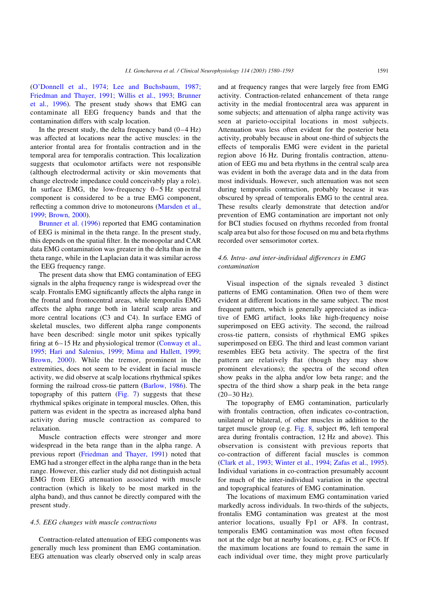([O'Donnell et al., 1974; Lee and Buchsbaum, 1987;](#page-13-0) [Friedman and Thayer, 1991; Willis et al., 1993; Brunner](#page-13-0) [et al., 1996](#page-13-0)). The present study shows that EMG can contaminate all EEG frequency bands and that the contamination differs with scalp location.

In the present study, the delta frequency band  $(0-4 Hz)$ was affected at locations near the active muscles: in the anterior frontal area for frontalis contraction and in the temporal area for temporalis contraction. This localization suggests that oculomotor artifacts were not responsible (although electrodermal activity or skin movements that change electrode impedance could conceivably play a role). In surface EMG, the low-frequency  $0-5$  Hz spectral component is considered to be a true EMG component, reflecting a common drive to motoneurons [\(Marsden et al.,](#page-13-0) [1999; Brown, 2000\)](#page-13-0).

[Brunner et al. \(1996\)](#page-12-0) reported that EMG contamination of EEG is minimal in the theta range. In the present study, this depends on the spatial filter. In the monopolar and CAR data EMG contamination was greater in the delta than in the theta range, while in the Laplacian data it was similar across the EEG frequency range.

The present data show that EMG contamination of EEG signals in the alpha frequency range is widespread over the scalp. Frontalis EMG significantly affects the alpha range in the frontal and frontocentral areas, while temporalis EMG affects the alpha range both in lateral scalp areas and more central locations (C3 and C4). In surface EMG of skeletal muscles, two different alpha range components have been described: single motor unit spikes typically firing at 6–15 Hz and physiological tremor [\(Conway et al.,](#page-12-0) [1995; Hari and Salenius, 1999; Mima and Hallett, 1999;](#page-12-0) [Brown, 2000](#page-12-0)). While the tremor, prominent in the extremities, does not seem to be evident in facial muscle activity, we did observe at scalp locations rhythmical spikes forming the railroad cross-tie pattern [\(Barlow, 1986\)](#page-12-0). The topography of this pattern [\(Fig. 7\)](#page-9-0) suggests that these rhythmical spikes originate in temporal muscles. Often, this pattern was evident in the spectra as increased alpha band activity during muscle contraction as compared to relaxation.

Muscle contraction effects were stronger and more widespread in the beta range than in the alpha range. A previous report ([Friedman and Thayer, 1991](#page-13-0)) noted that EMG had a stronger effect in the alpha range than in the beta range. However, this earlier study did not distinguish actual EMG from EEG attenuation associated with muscle contraction (which is likely to be most marked in the alpha band), and thus cannot be directly compared with the present study.

#### 4.5. EEG changes with muscle contractions

Contraction-related attenuation of EEG components was generally much less prominent than EMG contamination. EEG attenuation was clearly observed only in scalp areas and at frequency ranges that were largely free from EMG activity. Contraction-related enhancement of theta range activity in the medial frontocentral area was apparent in some subjects; and attenuation of alpha range activity was seen at parieto-occipital locations in most subjects. Attenuation was less often evident for the posterior beta activity, probably because in about one-third of subjects the effects of temporalis EMG were evident in the parietal region above 16 Hz. During frontalis contraction, attenuation of EEG mu and beta rhythms in the central scalp area was evident in both the average data and in the data from most individuals. However, such attenuation was not seen during temporalis contraction, probably because it was obscured by spread of temporalis EMG to the central area. These results clearly demonstrate that detection and/or prevention of EMG contamination are important not only for BCI studies focused on rhythms recorded from frontal scalp area but also for those focused on mu and beta rhythms recorded over sensorimotor cortex.

# 4.6. Intra- and inter-individual differences in EMG contamination

Visual inspection of the signals revealed 3 distinct patterns of EMG contamination. Often two of them were evident at different locations in the same subject. The most frequent pattern, which is generally appreciated as indicative of EMG artifact, looks like high-frequency noise superimposed on EEG activity. The second, the railroad cross-tie pattern, consists of rhythmical EMG spikes superimposed on EEG. The third and least common variant resembles EEG beta activity. The spectra of the first pattern are relatively flat (though they may show prominent elevations); the spectra of the second often show peaks in the alpha and/or low beta range; and the spectra of the third show a sharp peak in the beta range  $(20-30 \text{ Hz})$ .

The topography of EMG contamination, particularly with frontalis contraction, often indicates co-contraction, unilateral or bilateral, of other muscles in addition to the target muscle group (e.g. Fig.  $8$ , subject #6, left temporal area during frontalis contraction, 12 Hz and above). This observation is consistent with previous reports that co-contraction of different facial muscles is common ([Clark et al., 1993; Winter et al., 1994; Zafas et al., 1995\)](#page-12-0). Individual variations in co-contraction presumably account for much of the inter-individual variation in the spectral and topographical features of EMG contamination.

The locations of maximum EMG contamination varied markedly across individuals. In two-thirds of the subjects, frontalis EMG contamination was greatest at the most anterior locations, usually Fp1 or AF8. In contrast, temporalis EMG contamination was most often focused not at the edge but at nearby locations, e.g. FC5 or FC6. If the maximum locations are found to remain the same in each individual over time, they might prove particularly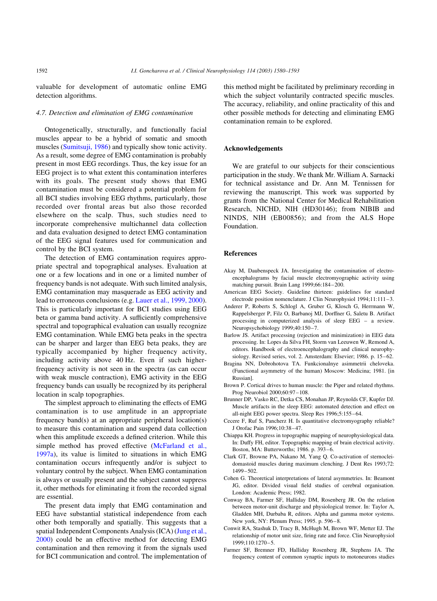<span id="page-12-0"></span>valuable for development of automatic online EMG detection algorithms.

# 4.7. Detection and elimination of EMG contamination

Ontogenetically, structurally, and functionally facial muscles appear to be a hybrid of somatic and smooth muscles [\(Sumitsuji, 1986\)](#page-13-0) and typically show tonic activity. As a result, some degree of EMG contamination is probably present in most EEG recordings. Thus, the key issue for an EEG project is to what extent this contamination interferes with its goals. The present study shows that EMG contamination must be considered a potential problem for all BCI studies involving EEG rhythms, particularly, those recorded over frontal areas but also those recorded elsewhere on the scalp. Thus, such studies need to incorporate comprehensive multichannel data collection and data evaluation designed to detect EMG contamination of the EEG signal features used for communication and control by the BCI system.

The detection of EMG contamination requires appropriate spectral and topographical analyses. Evaluation at one or a few locations and in one or a limited number of frequency bands is not adequate. With such limited analysis, EMG contamination may masquerade as EEG activity and lead to erroneous conclusions (e.g. [Lauer et al., 1999, 2000\)](#page-13-0). This is particularly important for BCI studies using EEG beta or gamma band activity. A sufficiently comprehensive spectral and topographical evaluation can usually recognize EMG contamination. While EMG beta peaks in the spectra can be sharper and larger than EEG beta peaks, they are typically accompanied by higher frequency activity, including activity above 40 Hz. Even if such higherfrequency activity is not seen in the spectra (as can occur with weak muscle contraction), EMG activity in the EEG frequency bands can usually be recognized by its peripheral location in scalp topographies.

The simplest approach to eliminating the effects of EMG contamination is to use amplitude in an appropriate frequency band(s) at an appropriate peripheral location(s) to measure this contamination and suspend data collection when this amplitude exceeds a defined criterion. While this simple method has proved effective ([McFarland et al.,](#page-13-0) [1997a](#page-13-0)), its value is limited to situations in which EMG contamination occurs infrequently and/or is subject to voluntary control by the subject. When EMG contamination is always or usually present and the subject cannot suppress it, other methods for eliminating it from the recorded signal are essential.

The present data imply that EMG contamination and EEG have substantial statistical independence from each other both temporally and spatially. This suggests that a spatial Independent Components Analysis (ICA) ([Jung et al.,](#page-13-0) [2000\)](#page-13-0) could be an effective method for detecting EMG contamination and then removing it from the signals used for BCI communication and control. The implementation of

this method might be facilitated by preliminary recording in which the subject voluntarily contracted specific muscles. The accuracy, reliability, and online practicality of this and other possible methods for detecting and eliminating EMG contamination remain to be explored.

## Acknowledgements

We are grateful to our subjects for their conscientious participation in the study. We thank Mr. William A. Sarnacki for technical assistance and Dr. Ann M. Tennissen for reviewing the manuscript. This work was supported by grants from the National Center for Medical Rehabilitation Research, NICHD, NIH (HD30146); from NIBIB and NINDS, NIH (EB00856); and from the ALS Hope Foundation.

#### References

- Akay M, Daubenspeck JA. Investigating the contamination of electroencephalograms by facial muscle electromyographic activity using matching pursuit. Brain Lang 1999;66:184–200.
- American EEG Society. Guideline thirteen: guidelines for standard electrode position nomenclature. J Clin Neurophysiol 1994;11:111–3.
- Anderer P, Roberts S, Schlogl A, Gruber G, Klosch G, Herrmann W, Rappelsberger P, Filz O, Barbanoj MJ, Dorffner G, Saletu B. Artifact processing in computerized analysis of sleep EEG – a review. Neuropsychobiology 1999;40:150–7.
- Barlow JS. Artifact processing (rejection and minimization) in EEG data processing. In: Lopes da Silva FH, Storm van Leeuwen W, Remond A, editors. Handbook of electroencephalography and clinical neurophysiology. Revised series, vol. 2. Amsterdam: Elsevier; 1986. p. 15–62.
- Bragina NN, Dobrohotova TA. Funkcionalnye asimmetrii cheloveka. (Functional asymmetry of the human) Moscow: Medicina; 1981. [in Russian].
- Brown P. Cortical drives to human muscle: the Piper and related rhythms. Prog Neurobiol 2000;60:97–108.
- Brunner DP, Vasko RC, Detka CS, Monahan JP, Reynolds CF, Kupfer DJ. Muscle artifacts in the sleep EEG: automated detection and effect on all-night EEG power spectra. Sleep Res 1996;5:155–64.
- Cecere F, Ruf S, Pancherz H. Is quantitative electromyography reliable? J Orofac Pain 1996;10:38–47.
- Chiappa KH. Progress in topographic mapping of neurophysiological data. In: Duffy FH, editor. Topographic mapping of brain electrical activity. Boston, MA: Butterworths; 1986. p. 393–6.
- Clark GT, Browne PA, Nakano M, Yang Q. Co-activation of sternocleidomastoid muscles during maximum clenching. J Dent Res 1993;72: 1499–502.
- Cohen G. Theoretical interpretations of lateral asymmetries. In: Beamont JG, editor. Divided visual field studies of cerebral organisation. London: Academic Press; 1982.
- Conway BA, Farmer SF, Halliday DM, Rosenberg JR. On the relation between motor-unit discharge and physiological tremor. In: Taylor A, Gladden MH, Durbaba R, editors. Alpha and gamma motor systems. New york, NY: Plenum Press; 1995. p. 596–8.
- Conwit RA, Stashuk D, Tracy B, McHugh M, Brown WF, Metter EJ. The relationship of motor unit size, firing rate and force. Clin Neurophysiol 1999;110:1270–5.
- Farmer SF, Bremner FD, Halliday Rosenberg JR, Stephens JA. The frequency content of common synaptic inputs to motoneurons studies